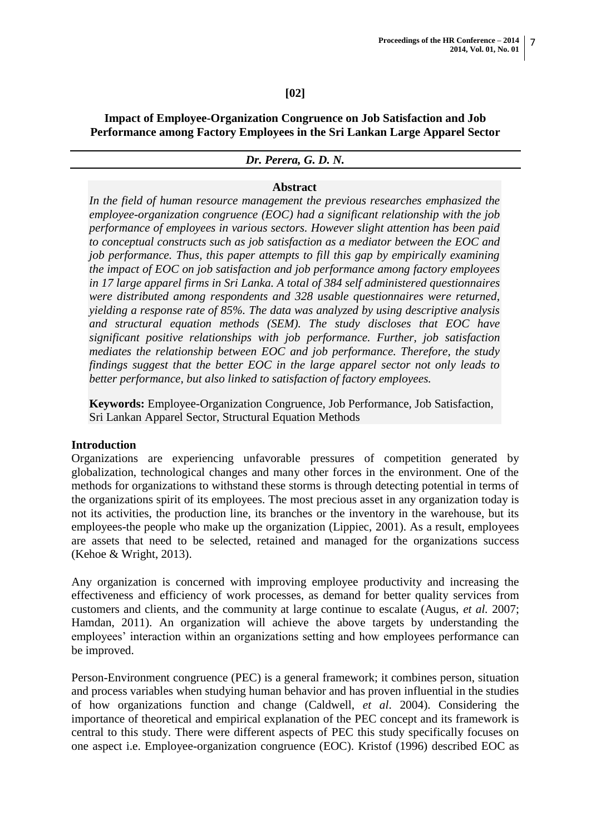## **[02]**

**Impact of Employee-Organization Congruence on Job Satisfaction and Job Performance among Factory Employees in the Sri Lankan Large Apparel Sector**

#### *Dr. Perera, G. D. N.*

#### **Abstract**

*In the field of human resource management the previous researches emphasized the employee-organization congruence (EOC) had a significant relationship with the job performance of employees in various sectors. However slight attention has been paid to conceptual constructs such as job satisfaction as a mediator between the EOC and job performance. Thus, this paper attempts to fill this gap by empirically examining the impact of EOC on job satisfaction and job performance among factory employees in 17 large apparel firms in Sri Lanka. A total of 384 self administered questionnaires were distributed among respondents and 328 usable questionnaires were returned, yielding a response rate of 85%. The data was analyzed by using descriptive analysis and structural equation methods (SEM). The study discloses that EOC have significant positive relationships with job performance. Further, job satisfaction mediates the relationship between EOC and job performance. Therefore, the study findings suggest that the better EOC in the large apparel sector not only leads to better performance, but also linked to satisfaction of factory employees.*

**Keywords:** Employee-Organization Congruence, Job Performance, Job Satisfaction, Sri Lankan Apparel Sector, Structural Equation Methods

#### **Introduction**

Organizations are experiencing unfavorable pressures of competition generated by globalization, technological changes and many other forces in the environment. One of the methods for organizations to withstand these storms is through detecting potential in terms of the organizations spirit of its employees. The most precious asset in any organization today is not its activities, the production line, its branches or the inventory in the warehouse, but its employees-the people who make up the organization (Lippiec, 2001). As a result, employees are assets that need to be selected, retained and managed for the organizations success (Kehoe & Wright, 2013).

Any organization is concerned with improving employee productivity and increasing the effectiveness and efficiency of work processes, as demand for better quality services from customers and clients, and the community at large continue to escalate (Augus, *et al.* 2007; Hamdan, 2011). An organization will achieve the above targets by understanding the employees' interaction within an organizations setting and how employees performance can be improved.

Person-Environment congruence (PEC) is a general framework; it combines person, situation and process variables when studying human behavior and has proven influential in the studies of how organizations function and change (Caldwell, *et al*. 2004). Considering the importance of theoretical and empirical explanation of the PEC concept and its framework is central to this study. There were different aspects of PEC this study specifically focuses on one aspect i.e. Employee-organization congruence (EOC). Kristof (1996) described EOC as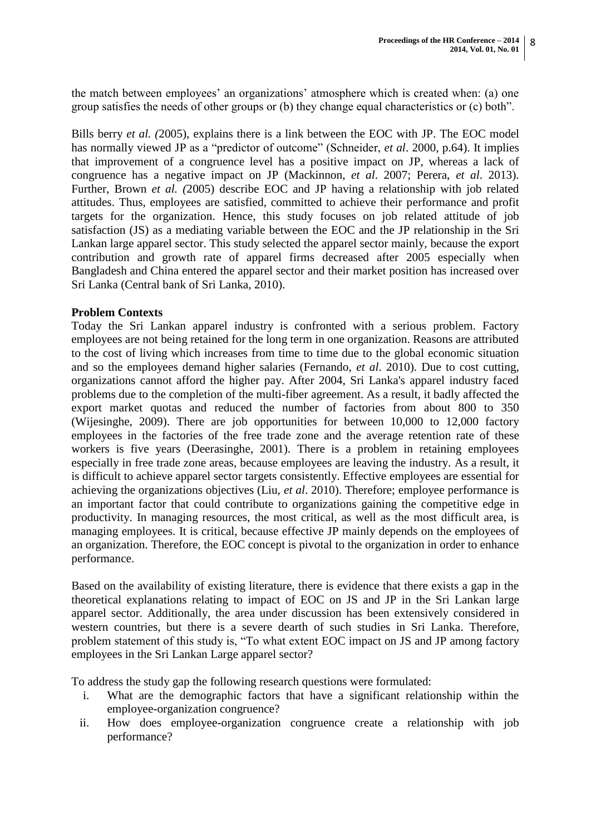the match between employees" an organizations" atmosphere which is created when: (a) one group satisfies the needs of other groups or (b) they change equal characteristics or (c) both".

Bills berry *et al. (*2005), explains there is a link between the EOC with JP. The EOC model has normally viewed JP as a "predictor of outcome" (Schneider, *et al*. 2000, p.64). It implies that improvement of a congruence level has a positive impact on JP, whereas a lack of congruence has a negative impact on JP (Mackinnon, *et al*. 2007; Perera, *et al*. 2013). Further, Brown *et al. (*2005) describe EOC and JP having a relationship with job related attitudes. Thus, employees are satisfied, committed to achieve their performance and profit targets for the organization. Hence, this study focuses on job related attitude of job satisfaction (JS) as a mediating variable between the EOC and the JP relationship in the Sri Lankan large apparel sector. This study selected the apparel sector mainly, because the export contribution and growth rate of apparel firms decreased after 2005 especially when Bangladesh and China entered the apparel sector and their market position has increased over Sri Lanka (Central bank of Sri Lanka, 2010).

## **Problem Contexts**

Today the Sri Lankan apparel industry is confronted with a serious problem. Factory employees are not being retained for the long term in one organization. Reasons are attributed to the cost of living which increases from time to time due to the global economic situation and so the employees demand higher salaries (Fernando, *et al*. 2010). Due to cost cutting, organizations cannot afford the higher pay. After 2004, Sri Lanka's apparel industry faced problems due to the completion of the multi-fiber agreement. As a result, it badly affected the export market quotas and reduced the number of factories from about 800 to 350 (Wijesinghe, 2009). There are job opportunities for between 10,000 to 12,000 factory employees in the factories of the free trade zone and the average retention rate of these workers is five years (Deerasinghe, 2001). There is a problem in retaining employees especially in free trade zone areas, because employees are leaving the industry. As a result, it is difficult to achieve apparel sector targets consistently. Effective employees are essential for achieving the organizations objectives (Liu, *et al*. 2010). Therefore; employee performance is an important factor that could contribute to organizations gaining the competitive edge in productivity. In managing resources, the most critical, as well as the most difficult area, is managing employees. It is critical, because effective JP mainly depends on the employees of an organization. Therefore, the EOC concept is pivotal to the organization in order to enhance performance.

Based on the availability of existing literature, there is evidence that there exists a gap in the theoretical explanations relating to impact of EOC on JS and JP in the Sri Lankan large apparel sector. Additionally, the area under discussion has been extensively considered in western countries, but there is a severe dearth of such studies in Sri Lanka. Therefore, problem statement of this study is, "To what extent EOC impact on JS and JP among factory employees in the Sri Lankan Large apparel sector?

To address the study gap the following research questions were formulated:

- i. What are the demographic factors that have a significant relationship within the employee-organization congruence?
- ii. How does employee-organization congruence create a relationship with job performance?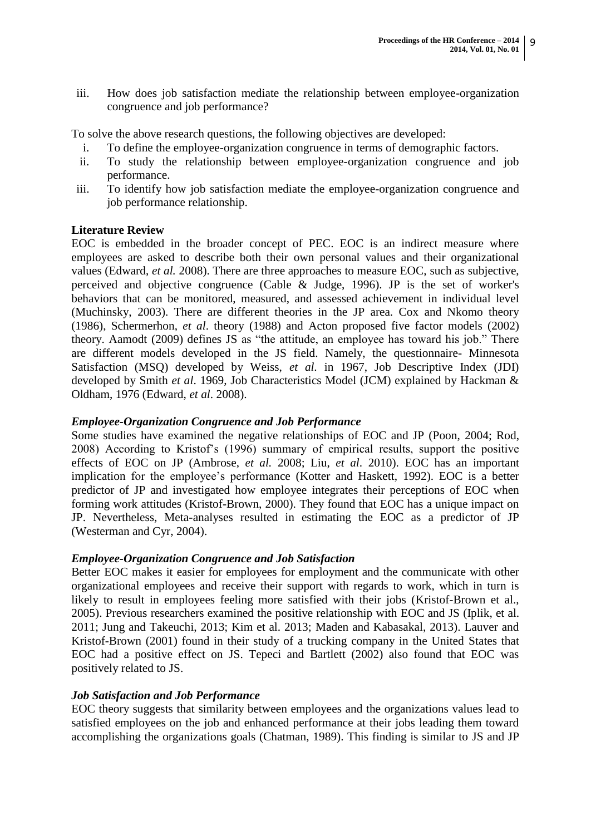iii. How does job satisfaction mediate the relationship between employee-organization congruence and job performance?

To solve the above research questions, the following objectives are developed:

- i. To define the employee-organization congruence in terms of demographic factors.
- ii. To study the relationship between employee-organization congruence and job performance.
- iii. To identify how job satisfaction mediate the employee-organization congruence and job performance relationship.

# **Literature Review**

EOC is embedded in the broader concept of PEC. EOC is an indirect measure where employees are asked to describe both their own personal values and their organizational values (Edward, *et al.* 2008). There are three approaches to measure EOC, such as subjective, perceived and objective congruence (Cable & Judge, 1996). JP is the set of worker's behaviors that can be monitored, measured, and assessed achievement in individual level (Muchinsky, 2003). There are different theories in the JP area. Cox and Nkomo theory (1986), Schermerhon, *et al*. theory (1988) and Acton proposed five factor models (2002) theory. Aamodt (2009) defines JS as "the attitude, an employee has toward his job." There are different models developed in the JS field. Namely, the questionnaire- Minnesota Satisfaction (MSQ) developed by Weiss, *et al.* in 1967, Job Descriptive Index (JDI) developed by Smith *et al*. 1969, Job Characteristics Model (JCM) explained by Hackman & Oldham, 1976 (Edward, *et al*. 2008).

## *Employee-Organization Congruence and Job Performance*

Some studies have examined the negative relationships of EOC and JP (Poon, 2004; Rod, 2008) According to Kristof"s (1996) summary of empirical results, support the positive effects of EOC on JP (Ambrose, *et al.* 2008; Liu, *et al*. 2010). EOC has an important implication for the employee"s performance (Kotter and Haskett, 1992). EOC is a better predictor of JP and investigated how employee integrates their perceptions of EOC when forming work attitudes (Kristof-Brown, 2000). They found that EOC has a unique impact on JP. Nevertheless, Meta-analyses resulted in estimating the EOC as a predictor of JP (Westerman and Cyr, 2004).

## *Employee-Organization Congruence and Job Satisfaction*

Better EOC makes it easier for employees for employment and the communicate with other organizational employees and receive their support with regards to work, which in turn is likely to result in employees feeling more satisfied with their jobs (Kristof-Brown et al., 2005). Previous researchers examined the positive relationship with EOC and JS (Iplik, et al. 2011; Jung and Takeuchi, 2013; Kim et al. 2013; Maden and Kabasakal, 2013). Lauver and Kristof-Brown (2001) found in their study of a trucking company in the United States that EOC had a positive effect on JS. Tepeci and Bartlett (2002) also found that EOC was positively related to JS.

## *Job Satisfaction and Job Performance*

EOC theory suggests that similarity between employees and the organizations values lead to satisfied employees on the job and enhanced performance at their jobs leading them toward accomplishing the organizations goals (Chatman, 1989). This finding is similar to JS and JP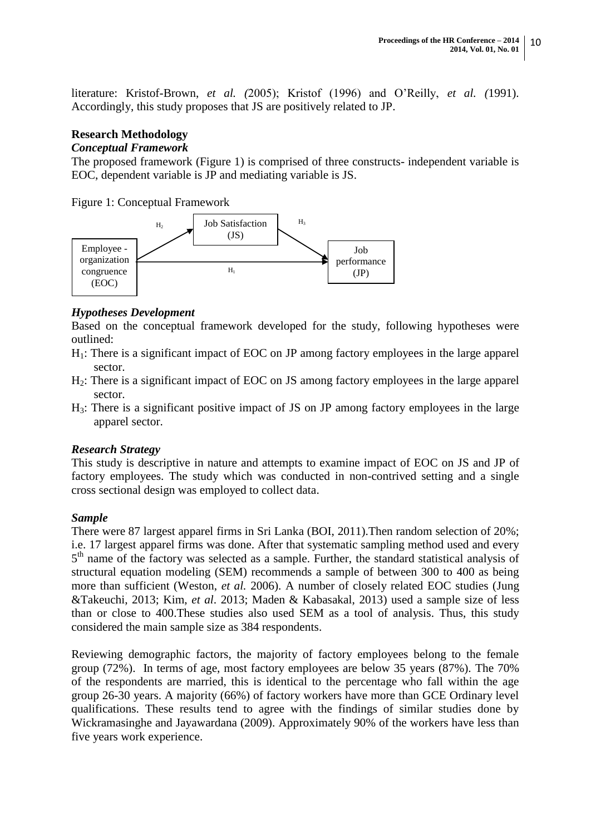literature: Kristof-Brown, *et al. (*2005); Kristof (1996) and O"Reilly, *et al. (*1991). Accordingly, this study proposes that JS are positively related to JP.

# **Research Methodology**

## *Conceptual Framework*

The proposed framework (Figure 1) is comprised of three constructs- independent variable is EOC, dependent variable is JP and mediating variable is JS.

Figure 1: Conceptual Framework



# *Hypotheses Development*

Based on the conceptual framework developed for the study, following hypotheses were outlined:

- H1: There is a significant impact of EOC on JP among factory employees in the large apparel sector.
- H2: There is a significant impact of EOC on JS among factory employees in the large apparel sector.
- H3: There is a significant positive impact of JS on JP among factory employees in the large apparel sector.

# *Research Strategy*

This study is descriptive in nature and attempts to examine impact of EOC on JS and JP of factory employees. The study which was conducted in non-contrived setting and a single cross sectional design was employed to collect data.

## *Sample*

There were 87 largest apparel firms in Sri Lanka (BOI, 2011).Then random selection of 20%; i.e. 17 largest apparel firms was done. After that systematic sampling method used and every 5<sup>th</sup> name of the factory was selected as a sample. Further, the standard statistical analysis of structural equation modeling (SEM) recommends a sample of between 300 to 400 as being more than sufficient (Weston, *et al.* 2006). A number of closely related EOC studies (Jung &Takeuchi, 2013; Kim, *et al*. 2013; Maden & Kabasakal, 2013) used a sample size of less than or close to 400.These studies also used SEM as a tool of analysis. Thus, this study considered the main sample size as 384 respondents.

Reviewing demographic factors, the majority of factory employees belong to the female group (72%). In terms of age, most factory employees are below 35 years (87%). The 70% of the respondents are married, this is identical to the percentage who fall within the age group 26-30 years. A majority (66%) of factory workers have more than GCE Ordinary level qualifications. These results tend to agree with the findings of similar studies done by Wickramasinghe and Jayawardana (2009). Approximately 90% of the workers have less than five years work experience.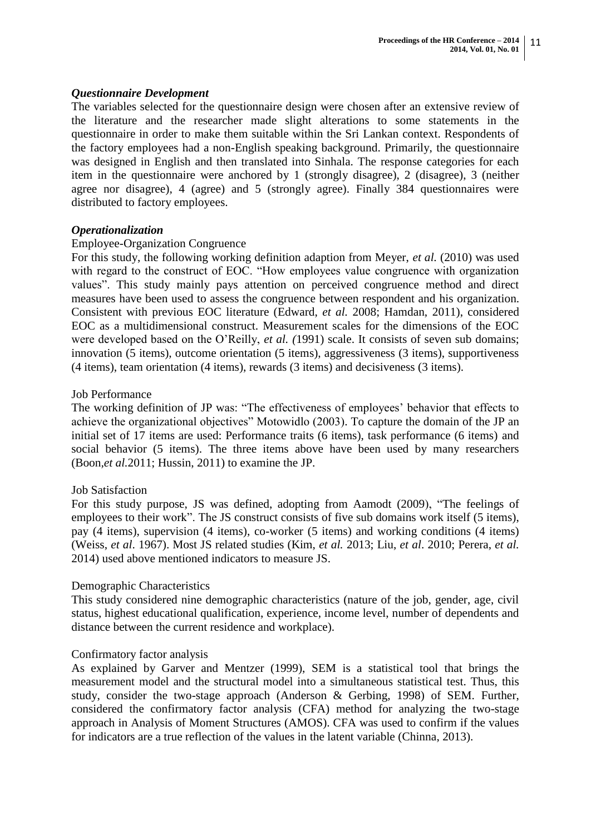### *Questionnaire Development*

The variables selected for the questionnaire design were chosen after an extensive review of the literature and the researcher made slight alterations to some statements in the questionnaire in order to make them suitable within the Sri Lankan context. Respondents of the factory employees had a non-English speaking background. Primarily, the questionnaire was designed in English and then translated into Sinhala. The response categories for each item in the questionnaire were anchored by 1 (strongly disagree), 2 (disagree), 3 (neither agree nor disagree), 4 (agree) and 5 (strongly agree). Finally 384 questionnaires were distributed to factory employees.

#### *Operationalization*

## Employee-Organization Congruence

For this study, the following working definition adaption from Meyer, *et al.* (2010) was used with regard to the construct of EOC. "How employees value congruence with organization values". This study mainly pays attention on perceived congruence method and direct measures have been used to assess the congruence between respondent and his organization. Consistent with previous EOC literature (Edward, *et al.* 2008; Hamdan, 2011), considered EOC as a multidimensional construct. Measurement scales for the dimensions of the EOC were developed based on the O"Reilly, *et al. (*1991) scale. It consists of seven sub domains; innovation (5 items), outcome orientation (5 items), aggressiveness (3 items), supportiveness (4 items), team orientation (4 items), rewards (3 items) and decisiveness (3 items).

#### Job Performance

The working definition of JP was: "The effectiveness of employees' behavior that effects to achieve the organizational objectives" Motowidlo (2003). To capture the domain of the JP an initial set of 17 items are used: Performance traits (6 items), task performance (6 items) and social behavior (5 items). The three items above have been used by many researchers (Boon*,et al.*2011; Hussin, 2011) to examine the JP.

#### Job Satisfaction

For this study purpose, JS was defined, adopting from Aamodt (2009), "The feelings of employees to their work". The JS construct consists of five sub domains work itself (5 items), pay (4 items), supervision (4 items), co-worker (5 items) and working conditions (4 items) (Weiss, *et al*. 1967). Most JS related studies (Kim, *et al.* 2013; Liu, *et al*. 2010; Perera, *et al.* 2014) used above mentioned indicators to measure JS.

#### Demographic Characteristics

This study considered nine demographic characteristics (nature of the job, gender, age, civil status, highest educational qualification, experience, income level, number of dependents and distance between the current residence and workplace).

#### Confirmatory factor analysis

As explained by Garver and Mentzer (1999), SEM is a statistical tool that brings the measurement model and the structural model into a simultaneous statistical test. Thus, this study, consider the two-stage approach (Anderson & Gerbing, 1998) of SEM. Further, considered the confirmatory factor analysis (CFA) method for analyzing the two-stage approach in Analysis of Moment Structures (AMOS). CFA was used to confirm if the values for indicators are a true reflection of the values in the latent variable (Chinna, 2013).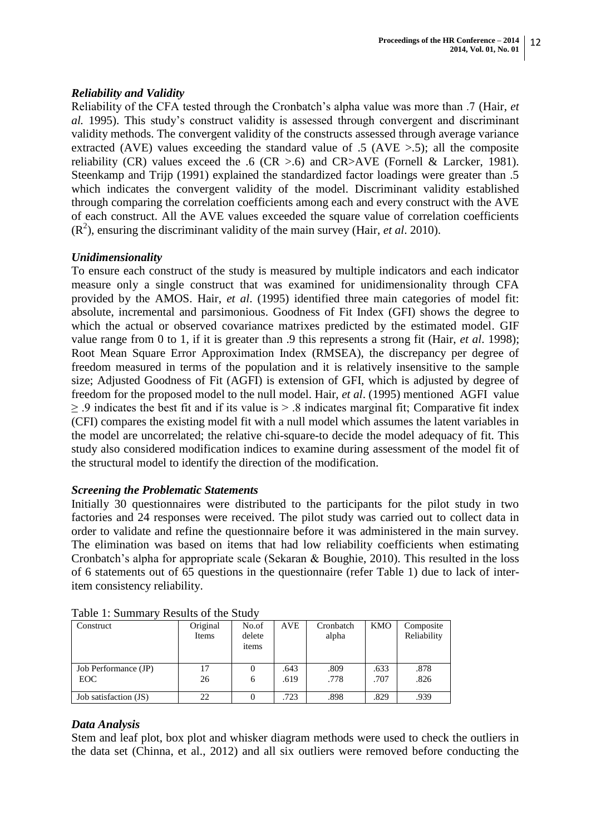# *Reliability and Validity*

Reliability of the CFA tested through the Cronbatch"s alpha value was more than .7 (Hair, *et al.* 1995). This study"s construct validity is assessed through convergent and discriminant validity methods. The convergent validity of the constructs assessed through average variance extracted (AVE) values exceeding the standard value of  $.5$  (AVE  $> 0.5$ ); all the composite reliability (CR) values exceed the .6 (CR  $> 0.6$ ) and CR $> AVE$  (Fornell & Larcker, 1981). Steenkamp and Trijp (1991) explained the standardized factor loadings were greater than .5 which indicates the convergent validity of the model. Discriminant validity established through comparing the correlation coefficients among each and every construct with the AVE of each construct. All the AVE values exceeded the square value of correlation coefficients  $(R<sup>2</sup>)$ , ensuring the discriminant validity of the main survey (Hair, *et al.* 2010).

# *Unidimensionality*

To ensure each construct of the study is measured by multiple indicators and each indicator measure only a single construct that was examined for unidimensionality through CFA provided by the AMOS. Hair, *et al*. (1995) identified three main categories of model fit: absolute, incremental and parsimonious. Goodness of Fit Index (GFI) shows the degree to which the actual or observed covariance matrixes predicted by the estimated model. GIF value range from 0 to 1, if it is greater than .9 this represents a strong fit (Hair, *et al*. 1998); Root Mean Square Error Approximation Index (RMSEA), the discrepancy per degree of freedom measured in terms of the population and it is relatively insensitive to the sample size; Adjusted Goodness of Fit (AGFI) is extension of GFI, which is adjusted by degree of freedom for the proposed model to the null model. Hair, *et al*. (1995) mentioned AGFI value  $\geq$  .9 indicates the best fit and if its value is  $> 0.8$  indicates marginal fit; Comparative fit index (CFI) compares the existing model fit with a null model which assumes the latent variables in the model are uncorrelated; the relative chi-square-to decide the model adequacy of fit. This study also considered modification indices to examine during assessment of the model fit of the structural model to identify the direction of the modification.

## *Screening the Problematic Statements*

Initially 30 questionnaires were distributed to the participants for the pilot study in two factories and 24 responses were received. The pilot study was carried out to collect data in order to validate and refine the questionnaire before it was administered in the main survey. The elimination was based on items that had low reliability coefficients when estimating Cronbatch"s alpha for appropriate scale (Sekaran & Boughie, 2010). This resulted in the loss of 6 statements out of 65 questions in the questionnaire (refer Table 1) due to lack of interitem consistency reliability.

| Construct                    | Original<br>Items | No.of<br>delete<br>items | AVE          | Cronbatch<br>alpha | KMO          | Composite<br>Reliability |
|------------------------------|-------------------|--------------------------|--------------|--------------------|--------------|--------------------------|
| Job Performance (JP)<br>EOC. | 17<br>26          | 6                        | .643<br>.619 | .809<br>.778       | .633<br>.707 | .878<br>.826             |
|                              |                   |                          |              |                    |              |                          |
| Job satisfaction (JS)        | 22                |                          | .723         | .898               | .829         | .939                     |

Table 1: Summary Results of the Study

# *Data Analysis*

Stem and leaf plot, box plot and whisker diagram methods were used to check the outliers in the data set (Chinna, et al., 2012) and all six outliers were removed before conducting the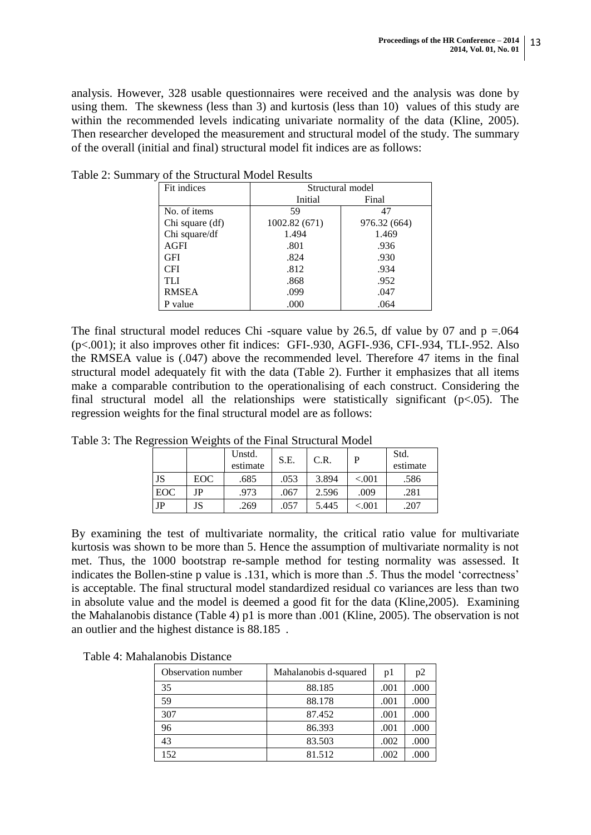analysis. However, 328 usable questionnaires were received and the analysis was done by using them. The skewness (less than 3) and kurtosis (less than 10) values of this study are within the recommended levels indicating univariate normality of the data (Kline, 2005). Then researcher developed the measurement and structural model of the study. The summary of the overall (initial and final) structural model fit indices are as follows:

| Fit indices     |               | Structural model |
|-----------------|---------------|------------------|
|                 | Initial       | Final            |
| No. of items    | 59            | 47               |
| Chi square (df) | 1002.82 (671) | 976.32 (664)     |
| Chi square/df   | 1.494         | 1.469            |
| AGFI            | .801          | .936             |
| GFI             | .824          | .930             |
| <b>CFI</b>      | .812          | .934             |
| TLI             | .868          | .952             |
| <b>RMSEA</b>    | .099          | .047             |
| P value         | .000          | .064             |

Table 2: Summary of the Structural Model Results

The final structural model reduces Chi -square value by 26.5, df value by 07 and  $p = .064$ (p<.001); it also improves other fit indices: GFI-.930, AGFI-.936, CFI-.934, TLI-.952. Also the RMSEA value is (.047) above the recommended level. Therefore 47 items in the final structural model adequately fit with the data (Table 2). Further it emphasizes that all items make a comparable contribution to the operationalising of each construct. Considering the final structural model all the relationships were statistically significant  $(p<.05)$ . The regression weights for the final structural model are as follows:

|             |            | Unstd.<br>estimate | S.E. | C.R.  |          | Std.<br>estimate |
|-------------|------------|--------------------|------|-------|----------|------------------|
| JS          | <b>EOC</b> | .685               | .053 | 3.894 | ${<}001$ | .586             |
| <b>EOC</b>  | JΡ         | .973               | .067 | 2.596 | .009     | .281             |
| $_{\rm JP}$ | JS         | .269               | .057 | 5.445 | ${<}001$ | .207             |

Table 3: The Regression Weights of the Final Structural Model

By examining the test of multivariate normality, the critical ratio value for multivariate kurtosis was shown to be more than 5. Hence the assumption of multivariate normality is not met. Thus, the 1000 bootstrap re-sample method for testing normality was assessed. It indicates the Bollen-stine p value is .131, which is more than .5. Thus the model 'correctness' is acceptable. The final structural model standardized residual co variances are less than two in absolute value and the model is deemed a good fit for the data (Kline,2005). Examining the Mahalanobis distance (Table 4) p1 is more than .001 (Kline, 2005). The observation is not an outlier and the highest distance is 88.185 .

| Table 4: Mahalanobis Distance |  |
|-------------------------------|--|
|-------------------------------|--|

| Observation number | Mahalanobis d-squared | p1   | p2   |
|--------------------|-----------------------|------|------|
| 35                 | 88.185                | .001 | .000 |
| 59                 | 88.178                | .001 | .000 |
| 307                | 87.452                | .001 | .000 |
| 96                 | 86.393                | .001 | .000 |
| 43                 | 83.503                | .002 | .000 |
| 152                | 81.512                | .002 | .000 |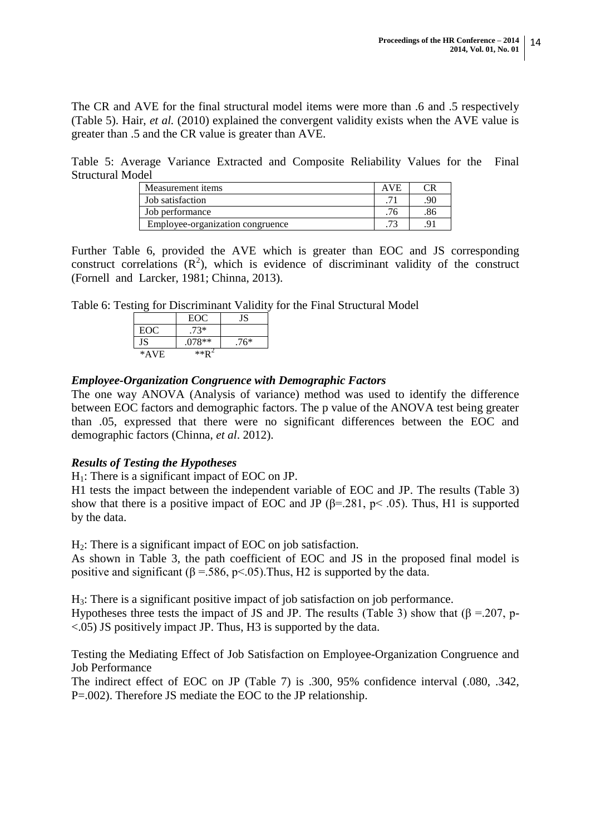The CR and AVE for the final structural model items were more than .6 and .5 respectively (Table 5). Hair, *et al.* (2010) explained the convergent validity exists when the AVE value is greater than .5 and the CR value is greater than AVE.

Table 5: Average Variance Extracted and Composite Reliability Values for the Final Structural Model

| Measurement items                | <b>AVE</b> |    |
|----------------------------------|------------|----|
| Job satisfaction                 |            | 90 |
| Job performance                  |            |    |
| Employee-organization congruence |            |    |

Further Table 6, provided the AVE which is greater than EOC and JS corresponding construct correlations  $(R^2)$ , which is evidence of discriminant validity of the construct (Fornell and Larcker, 1981; Chinna, 2013).

Table 6: Testing for Discriminant Validity for the Final Structural Model

|      | EOC      | JS     |
|------|----------|--------|
| EOC  | $.73*$   |        |
| JS   | $.078**$ | $.76*$ |
| *AVE | $**D$    |        |

# *Employee-Organization Congruence with Demographic Factors*

The one way ANOVA (Analysis of variance) method was used to identify the difference between EOC factors and demographic factors. The p value of the ANOVA test being greater than .05, expressed that there were no significant differences between the EOC and demographic factors (Chinna, *et al*. 2012).

# *Results of Testing the Hypotheses*

 $H_1$ : There is a significant impact of EOC on JP.

H1 tests the impact between the independent variable of EOC and JP. The results (Table 3) show that there is a positive impact of EOC and JP ( $\beta$ =.281,  $p$ < .05). Thus, H1 is supported by the data.

 $H<sub>2</sub>$ : There is a significant impact of EOC on job satisfaction.

As shown in Table 3, the path coefficient of EOC and JS in the proposed final model is positive and significant ( $\beta$  = .586, p < .05). Thus, H2 is supported by the data.

H3: There is a significant positive impact of job satisfaction on job performance.

Hypotheses three tests the impact of JS and JP. The results (Table 3) show that ( $\beta$  =.207, p-<.05) JS positively impact JP. Thus, H3 is supported by the data.

Testing the Mediating Effect of Job Satisfaction on Employee-Organization Congruence and Job Performance

The indirect effect of EOC on JP (Table 7) is .300, 95% confidence interval (.080, .342, P=.002). Therefore JS mediate the EOC to the JP relationship.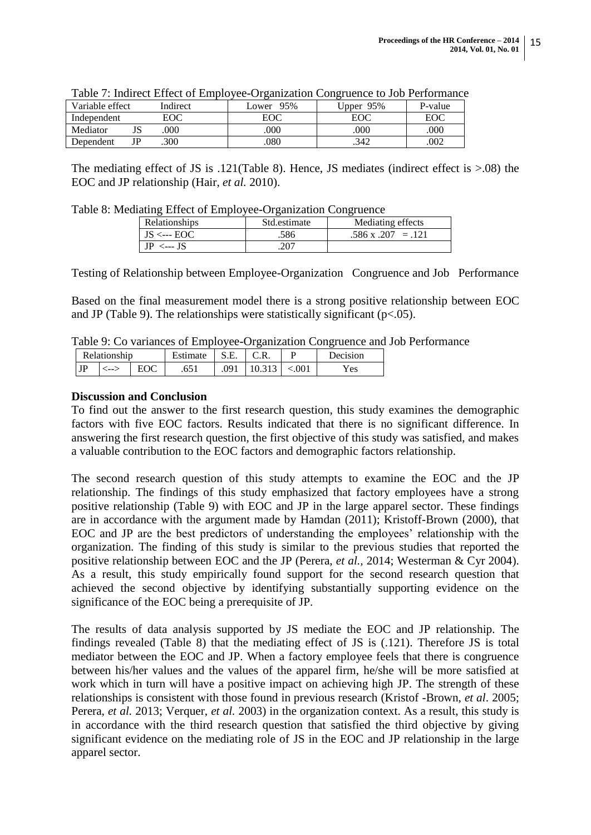| Variable effect |    | Indirect | 95%<br>Lower | 95%<br>Jpper | P-value |
|-----------------|----|----------|--------------|--------------|---------|
| Independent     |    | EOC      | EOC          |              | EOC     |
| Mediator        | ບພ | .000     | .000         | 000          | 000     |
| Dependent       |    | .300     | .080         | .342         | .002    |

| Table 7: Indirect Effect of Employee-Organization Congruence to Job Performance |  |  |  |  |
|---------------------------------------------------------------------------------|--|--|--|--|
|                                                                                 |  |  |  |  |
|                                                                                 |  |  |  |  |

The mediating effect of JS is .121(Table 8). Hence, JS mediates (indirect effect is >.08) the EOC and JP relationship (Hair, *et al.* 2010).

Table 8: Mediating Effect of Employee-Organization Congruence

| Relationships       | Std.estimate | Mediating effects         |
|---------------------|--------------|---------------------------|
| $JS \leftarrow EOC$ | .586         | $.586 \times .207 = .121$ |
| $IP \leftarrow$ IS  | .207         |                           |

Testing of Relationship between Employee-Organization Congruence and Job Performance

Based on the final measurement model there is a strong positive relationship between EOC and JP (Table 9). The relationships were statistically significant ( $p<0.05$ ).

Table 9: Co variances of Employee-Organization Congruence and Job Performance

|                 | Relationship | istimate     |            | ◡…      |        | Decision |
|-----------------|--------------|--------------|------------|---------|--------|----------|
| <b>TD</b><br>JI | ⊂ --         | ---<br>.v. 1 | ገባ<br>.021 | <u></u> | ⊂.OO I | Yes      |

# **Discussion and Conclusion**

To find out the answer to the first research question, this study examines the demographic factors with five EOC factors. Results indicated that there is no significant difference. In answering the first research question, the first objective of this study was satisfied, and makes a valuable contribution to the EOC factors and demographic factors relationship.

The second research question of this study attempts to examine the EOC and the JP relationship. The findings of this study emphasized that factory employees have a strong positive relationship (Table 9) with EOC and JP in the large apparel sector. These findings are in accordance with the argument made by Hamdan (2011); Kristoff-Brown (2000), that EOC and JP are the best predictors of understanding the employees" relationship with the organization. The finding of this study is similar to the previous studies that reported the positive relationship between EOC and the JP (Perera, *et al.,* 2014; Westerman & Cyr 2004). As a result, this study empirically found support for the second research question that achieved the second objective by identifying substantially supporting evidence on the significance of the EOC being a prerequisite of JP.

The results of data analysis supported by JS mediate the EOC and JP relationship. The findings revealed (Table 8) that the mediating effect of JS is (.121). Therefore JS is total mediator between the EOC and JP. When a factory employee feels that there is congruence between his/her values and the values of the apparel firm, he/she will be more satisfied at work which in turn will have a positive impact on achieving high JP. The strength of these relationships is consistent with those found in previous research (Kristof -Brown, *et al*. 2005; Perera, *et al.* 2013; Verquer, *et al.* 2003) in the organization context. As a result, this study is in accordance with the third research question that satisfied the third objective by giving significant evidence on the mediating role of JS in the EOC and JP relationship in the large apparel sector.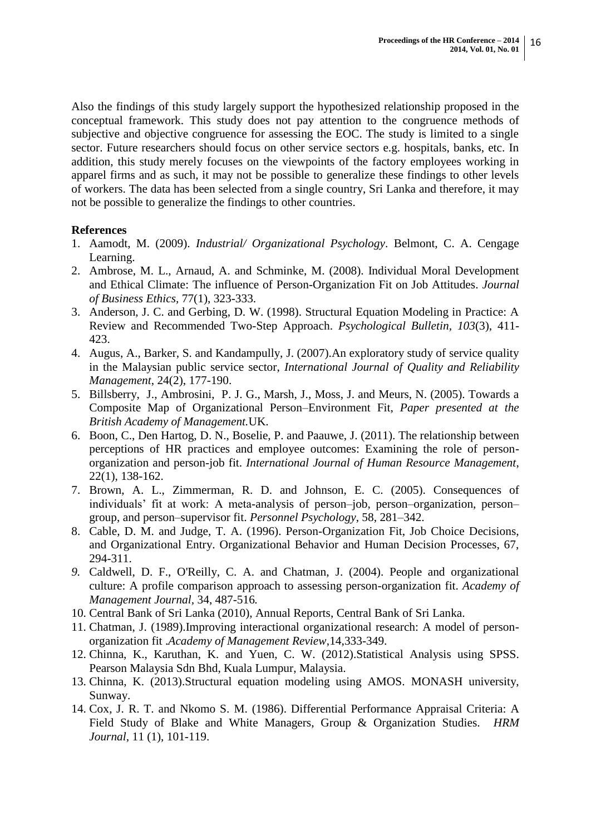Also the findings of this study largely support the hypothesized relationship proposed in the conceptual framework. This study does not pay attention to the congruence methods of subjective and objective congruence for assessing the EOC. The study is limited to a single sector. Future researchers should focus on other service sectors e.g. hospitals, banks, etc. In addition, this study merely focuses on the viewpoints of the factory employees working in apparel firms and as such, it may not be possible to generalize these findings to other levels of workers. The data has been selected from a single country, Sri Lanka and therefore, it may not be possible to generalize the findings to other countries.

# **References**

- 1. Aamodt, M. (2009). *Industrial/ Organizational Psychology*. Belmont, C. A. Cengage Learning.
- 2. Ambrose, M. L., Arnaud, A. and Schminke, M. (2008). Individual Moral Development and Ethical Climate: The influence of Person-Organization Fit on Job Attitudes. *Journal of Business Ethics,* 77(1), 323-333.
- 3. Anderson, J. C. and Gerbing, D. W. (1998). Structural Equation Modeling in Practice: A Review and Recommended Two-Step Approach. *Psychological Bulletin, 103*(3), 411- 423.
- 4. Augus, A., Barker, S. and Kandampully, J. (2007).An exploratory study of service quality in the Malaysian public service sector, *International Journal of Quality and Reliability Management*, 24(2), 177-190.
- 5. Billsberry, J., Ambrosini, P. J. G., Marsh, J., Moss, J. and Meurs, N. (2005). Towards a Composite Map of Organizational Person–Environment Fit, *Paper presented at the British Academy of Management.*UK.
- 6. Boon, C., Den Hartog, D. N., Boselie, P. and Paauwe, J. (2011). The relationship between perceptions of HR practices and employee outcomes: Examining the role of personorganization and person-job fit. *International Journal of Human Resource Management*, 22(1), 138-162.
- 7. Brown, A. L., Zimmerman, R. D. and Johnson, E. C. (2005). Consequences of individuals" fit at work: A meta-analysis of person–job, person–organization, person– group, and person–supervisor fit. *Personnel Psychology*, 58, 281–342.
- 8. Cable, D. M. and Judge, T. A. (1996). Person-Organization Fit, Job Choice Decisions, and Organizational Entry. Organizational Behavior and Human Decision Processes, 67, 294-311.
- *9.* Caldwell, D. F., O'Reilly, C. A. and Chatman, J. (2004). People and organizational culture: A profile comparison approach to assessing person-organization fit. *Academy of Management Journal,* 34, 487-516*.*
- 10. Central Bank of Sri Lanka (2010), Annual Reports, Central Bank of Sri Lanka.
- 11. Chatman, J. (1989).Improving interactional organizational research: A model of personorganization fit .*Academy of Management Review*,14,333-349.
- 12. Chinna, K., Karuthan, K. and Yuen, C. W. (2012).Statistical Analysis using SPSS. Pearson Malaysia Sdn Bhd, Kuala Lumpur, Malaysia.
- 13. Chinna, K. (2013).Structural equation modeling using AMOS. MONASH university, Sunway.
- 14. Cox, J. R. T. and Nkomo S. M. (1986). Differential Performance Appraisal Criteria: A Field Study of Blake and White Managers, Group & Organization Studies. *HRM Journal*, 11 (1), 101-119.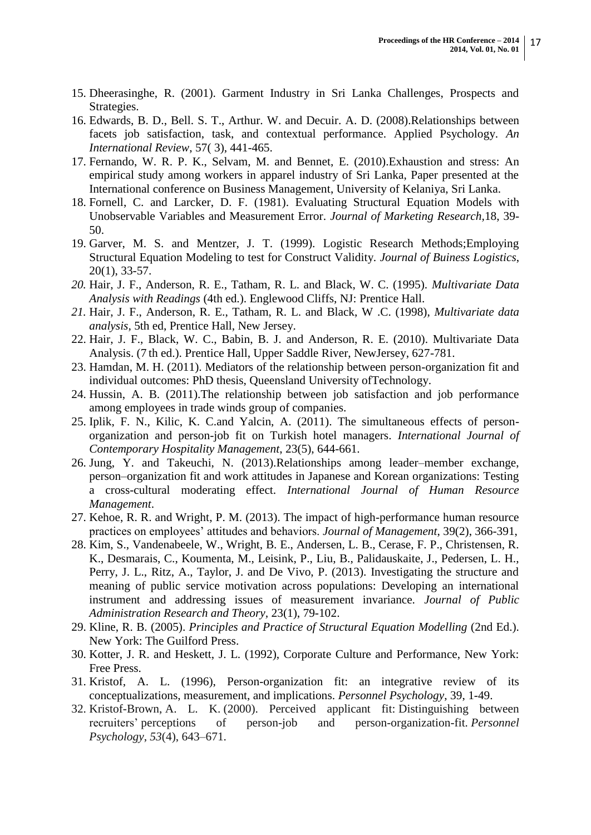- 15. Dheerasinghe, R. (2001). Garment Industry in Sri Lanka Challenges, Prospects and Strategies.
- 16. Edwards, B. D., Bell. S. T., Arthur. W. and Decuir. A. D. (2008).Relationships between facets job satisfaction, task, and contextual performance. Applied Psychology. *An International Review*, 57( 3), 441-465.
- 17. Fernando, W. R. P. K., Selvam, M. and Bennet, E. (2010).Exhaustion and stress: An empirical study among workers in apparel industry of Sri Lanka, Paper presented at the International conference on Business Management, University of Kelaniya, Sri Lanka.
- 18. Fornell, C. and Larcker, D. F. (1981). Evaluating Structural Equation Models with Unobservable Variables and Measurement Error. *Journal of Marketing Research,*18, 39- 50.
- 19. Garver, M. S. and Mentzer, J. T. (1999). Logistic Research Methods;Employing Structural Equation Modeling to test for Construct Validity. *Journal of Buiness Logistics*, 20(1), 33-57.
- *20.* Hair, J. F., Anderson, R. E., Tatham, R. L. and Black, W. C. (1995). *Multivariate Data Analysis with Readings* (4th ed.). Englewood Cliffs, NJ: Prentice Hall.
- *21.* Hair, J. F., Anderson, R. E., Tatham, R. L. and Black, W .C. (1998), *Multivariate data analysis,* 5th ed, Prentice Hall, New Jersey.
- 22. Hair, J. F., Black, W. C., Babin, B. J. and Anderson, R. E. (2010). Multivariate Data Analysis. (7 th ed.). Prentice Hall, Upper Saddle River, NewJersey, 627-781.
- 23. Hamdan, M. H. (2011). Mediators of the relationship between person-organization fit and individual outcomes: PhD thesis, Queensland University ofTechnology.
- 24. Hussin, A. B. (2011).The relationship between job satisfaction and job performance among employees in trade winds group of companies.
- 25. Iplik, F. N., Kilic, K. C.and Yalcin, A. (2011). The simultaneous effects of personorganization and person-job fit on Turkish hotel managers. *International Journal of Contemporary Hospitality Management*, 23(5), 644-661.
- 26. Jung, Y. and Takeuchi, N. (2013).Relationships among leader–member exchange, person–organization fit and work attitudes in Japanese and Korean organizations: Testing a cross-cultural moderating effect. *International Journal of Human Resource Management*.
- 27. Kehoe, R. R. and Wright, P. M. (2013). The impact of high-performance human resource practices on employees" attitudes and behaviors. *Journal of Management*, 39(2), 366-391,
- 28. Kim, S., Vandenabeele, W., Wright, B. E., Andersen, L. B., Cerase, F. P., Christensen, R. K., Desmarais, C., Koumenta, M., Leisink, P., Liu, B., Palidauskaite, J., Pedersen, L. H., Perry, J. L., Ritz, A., Taylor, J. and De Vivo, P. (2013). Investigating the structure and meaning of public service motivation across populations: Developing an international instrument and addressing issues of measurement invariance. *Journal of Public Administration Research and Theory,* 23(1), 79-102.
- 29. Kline, R. B. (2005). *Principles and Practice of Structural Equation Modelling* (2nd Ed.). New York: The Guilford Press.
- 30. Kotter, J. R. and Heskett, J. L. (1992), Corporate Culture and Performance, New York: Free Press.
- 31. Kristof, A. L. (1996), Person-organization fit: an integrative review of its conceptualizations, measurement, and implications. *Personnel Psychology*, 39, 1-49.
- 32. Kristof-Brown, A. L. K. (2000). Perceived applicant fit: Distinguishing between recruiters" perceptions of person-job and person-organization-fit. *Personnel Psychology*, *53*(4), 643–671.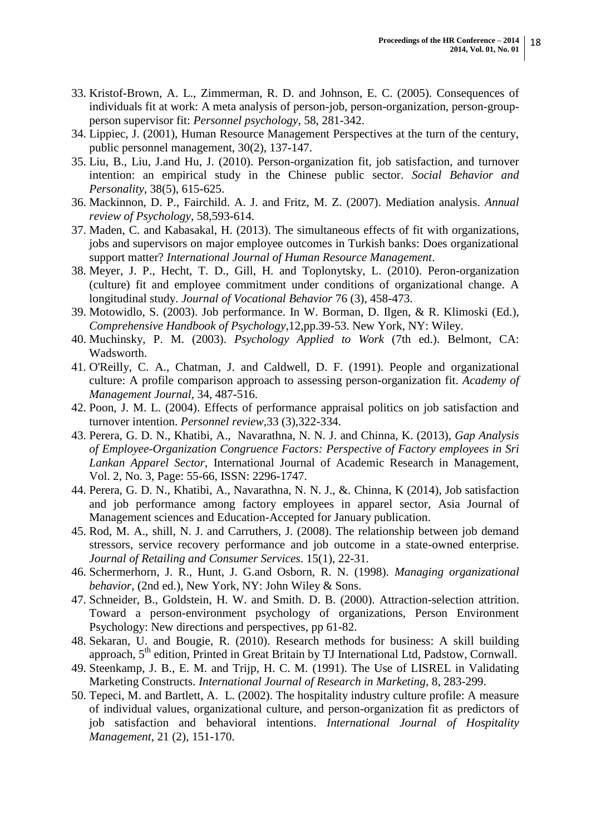- 33. Kristof-Brown, A. L., Zimmerman, R. D. and Johnson, E. C. (2005). Consequences of individuals fit at work: A meta analysis of person-job, person-organization, person-groupperson supervisor fit: *Personnel psychology*, 58, 281-342.
- 34. Lippiec, J. (2001), Human Resource Management Perspectives at the turn of the century, public personnel management, 30(2), 137-147.
- 35. Liu, B., Liu, J.and Hu, J. (2010). Person-organization fit, job satisfaction, and turnover intention: an empirical study in the Chinese public sector. *Social Behavior and Personality,* 38(5), 615-625.
- 36. Mackinnon, D. P., Fairchild. A. J. and Fritz, M. Z. (2007). Mediation analysis. *Annual review of Psychology*, 58,593-614.
- 37. Maden, C. and Kabasakal, H. (2013). The simultaneous effects of fit with organizations, jobs and supervisors on major employee outcomes in Turkish banks: Does organizational support matter? *International Journal of Human Resource Management*.
- 38. Meyer, J. P., Hecht, T. D., Gill, H. and Toplonytsky, L. (2010). Peron-organization (culture) fit and employee commitment under conditions of organizational change. A longitudinal study. *Journal of Vocational Behavior* 76 (3), 458-473.
- 39. Motowidlo, S. (2003). Job performance. In W. Borman, D. Ilgen, & R. Klimoski (Ed.), *Comprehensive Handbook of Psychology*,12,pp.39-53. New York, NY: Wiley.
- 40. Muchinsky, P. M. (2003). *Psychology Applied to Work* (7th ed.). Belmont, CA: Wadsworth.
- 41. O'Reilly, C. A., Chatman, J. and Caldwell, D. F. (1991). People and organizational culture: A profile comparison approach to assessing person-organization fit. *Academy of Management Journal,* 34, 487-516.
- 42. Poon, J. M. L. (2004). Effects of performance appraisal politics on job satisfaction and turnover intention. *Personnel review,*33 (3),322-334.
- 43. Perera, G. D. N., Khatibi, A., Navarathna, N. N. J. and Chinna, K. (2013), *Gap Analysis of Employee-Organization Congruence Factors: Perspective of Factory employees in Sri Lankan Apparel Sector*, International Journal of Academic Research in Management, Vol. 2, No. 3, Page: 55-66, ISSN: 2296-1747.
- 44. Perera, G. D. N., Khatibi, A., Navarathna, N. N. J., &. Chinna, K (2014), Job satisfaction and job performance among factory employees in apparel sector, Asia Journal of Management sciences and Education-Accepted for January publication.
- 45. Rod, M. A., shill, N. J. and Carruthers, J. (2008). The relationship between job demand stressors, service recovery performance and job outcome in a state-owned enterprise. *Journal of Retailing and Consumer Services*. 15(1), 22-31.
- 46. Schermerhorn, J. R., Hunt, J. G.and Osborn, R. N. (1998). *Managing organizational behavior*, (2nd ed.), New York, NY: John Wiley & Sons.
- 47. Schneider, B., Goldstein, H. W. and Smith. D. B. (2000). Attraction-selection attrition. Toward a person-environment psychology of organizations, Person Environment Psychology: New directions and perspectives, pp 61-82.
- 48. Sekaran, U. and Bougie, R. (2010). Research methods for business: A skill building approach, 5<sup>th</sup> edition, Printed in Great Britain by TJ International Ltd, Padstow, Cornwall.
- 49. Steenkamp, J. B., E. M. and Trijp, H. C. M. (1991). The Use of LISREL in Validating Marketing Constructs. *International Journal of Research in Marketing,* 8, 283-299.
- 50. Tepeci, M. and Bartlett, A. L. (2002). The hospitality industry culture profile: A measure of individual values, organizational culture, and person-organization fit as predictors of job satisfaction and behavioral intentions. *International Journal of Hospitality Management*, 21 (2), 151-170.